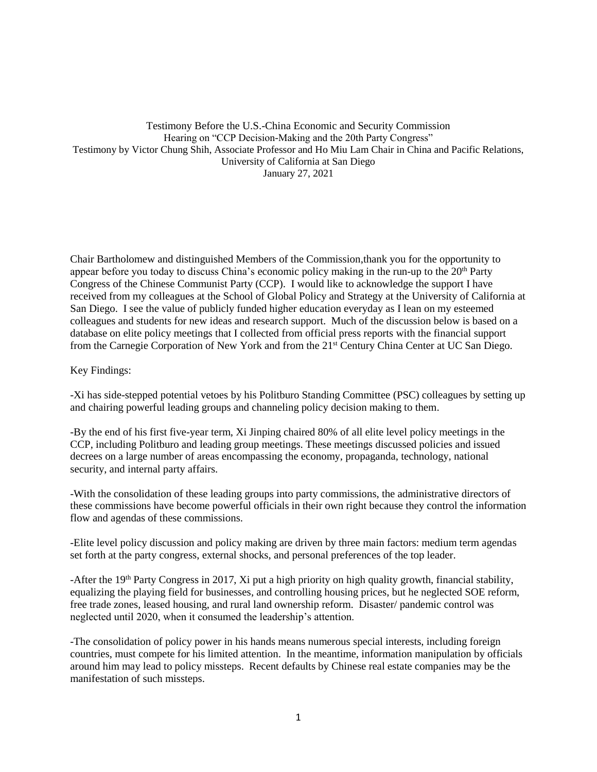## Testimony Before the U.S.-China Economic and Security Commission Hearing on "CCP Decision-Making and the 20th Party Congress" Testimony by Victor Chung Shih, Associate Professor and Ho Miu Lam Chair in China and Pacific Relations, University of California at San Diego January 27, 2021

Chair Bartholomew and distinguished Members of the Commission,thank you for the opportunity to appear before you today to discuss China's economic policy making in the run-up to the  $20<sup>th</sup>$  Party Congress of the Chinese Communist Party (CCP). I would like to acknowledge the support I have received from my colleagues at the School of Global Policy and Strategy at the University of California at San Diego. I see the value of publicly funded higher education everyday as I lean on my esteemed colleagues and students for new ideas and research support. Much of the discussion below is based on a database on elite policy meetings that I collected from official press reports with the financial support from the Carnegie Corporation of New York and from the 21st Century China Center at UC San Diego.

## Key Findings:

-Xi has side-stepped potential vetoes by his Politburo Standing Committee (PSC) colleagues by setting up and chairing powerful leading groups and channeling policy decision making to them.

-By the end of his first five-year term, Xi Jinping chaired 80% of all elite level policy meetings in the CCP, including Politburo and leading group meetings. These meetings discussed policies and issued decrees on a large number of areas encompassing the economy, propaganda, technology, national security, and internal party affairs.

-With the consolidation of these leading groups into party commissions, the administrative directors of these commissions have become powerful officials in their own right because they control the information flow and agendas of these commissions.

-Elite level policy discussion and policy making are driven by three main factors: medium term agendas set forth at the party congress, external shocks, and personal preferences of the top leader.

-After the 19<sup>th</sup> Party Congress in 2017, Xi put a high priority on high quality growth, financial stability, equalizing the playing field for businesses, and controlling housing prices, but he neglected SOE reform, free trade zones, leased housing, and rural land ownership reform. Disaster/ pandemic control was neglected until 2020, when it consumed the leadership's attention.

-The consolidation of policy power in his hands means numerous special interests, including foreign countries, must compete for his limited attention. In the meantime, information manipulation by officials around him may lead to policy missteps. Recent defaults by Chinese real estate companies may be the manifestation of such missteps.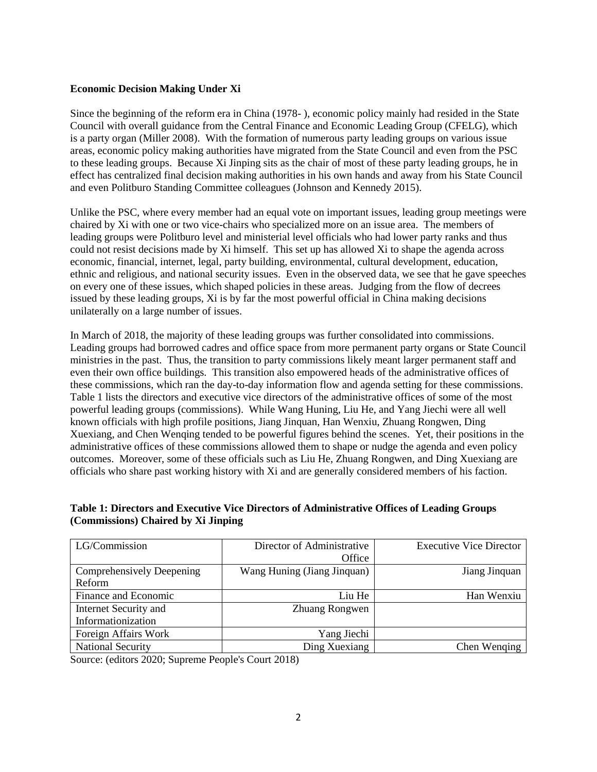# **Economic Decision Making Under Xi**

Since the beginning of the reform era in China (1978- ), economic policy mainly had resided in the State Council with overall guidance from the Central Finance and Economic Leading Group (CFELG), which is a party organ (Miller 2008). With the formation of numerous party leading groups on various issue areas, economic policy making authorities have migrated from the State Council and even from the PSC to these leading groups. Because Xi Jinping sits as the chair of most of these party leading groups, he in effect has centralized final decision making authorities in his own hands and away from his State Council and even Politburo Standing Committee colleagues (Johnson and Kennedy 2015).

Unlike the PSC, where every member had an equal vote on important issues, leading group meetings were chaired by Xi with one or two vice-chairs who specialized more on an issue area. The members of leading groups were Politburo level and ministerial level officials who had lower party ranks and thus could not resist decisions made by Xi himself. This set up has allowed Xi to shape the agenda across economic, financial, internet, legal, party building, environmental, cultural development, education, ethnic and religious, and national security issues. Even in the observed data, we see that he gave speeches on every one of these issues, which shaped policies in these areas. Judging from the flow of decrees issued by these leading groups, Xi is by far the most powerful official in China making decisions unilaterally on a large number of issues.

In March of 2018, the majority of these leading groups was further consolidated into commissions. Leading groups had borrowed cadres and office space from more permanent party organs or State Council ministries in the past. Thus, the transition to party commissions likely meant larger permanent staff and even their own office buildings. This transition also empowered heads of the administrative offices of these commissions, which ran the day-to-day information flow and agenda setting for these commissions. Table 1 lists the directors and executive vice directors of the administrative offices of some of the most powerful leading groups (commissions). While Wang Huning, Liu He, and Yang Jiechi were all well known officials with high profile positions, Jiang Jinquan, Han Wenxiu, Zhuang Rongwen, Ding Xuexiang, and Chen Wenqing tended to be powerful figures behind the scenes. Yet, their positions in the administrative offices of these commissions allowed them to shape or nudge the agenda and even policy outcomes. Moreover, some of these officials such as Liu He, Zhuang Rongwen, and Ding Xuexiang are officials who share past working history with Xi and are generally considered members of his faction.

# **Table 1: Directors and Executive Vice Directors of Administrative Offices of Leading Groups (Commissions) Chaired by Xi Jinping**

| LG/Commission             | Director of Administrative  | <b>Executive Vice Director</b> |
|---------------------------|-----------------------------|--------------------------------|
|                           | Office                      |                                |
| Comprehensively Deepening | Wang Huning (Jiang Jinquan) | Jiang Jinquan                  |
| Reform                    |                             |                                |
| Finance and Economic      | Liu He                      | Han Wenxiu                     |
| Internet Security and     | Zhuang Rongwen              |                                |
| Informationization        |                             |                                |
| Foreign Affairs Work      | Yang Jiechi                 |                                |
| <b>National Security</b>  | Ding Xuexiang               | Chen Wenging                   |

Source: (editors 2020; Supreme People's Court 2018)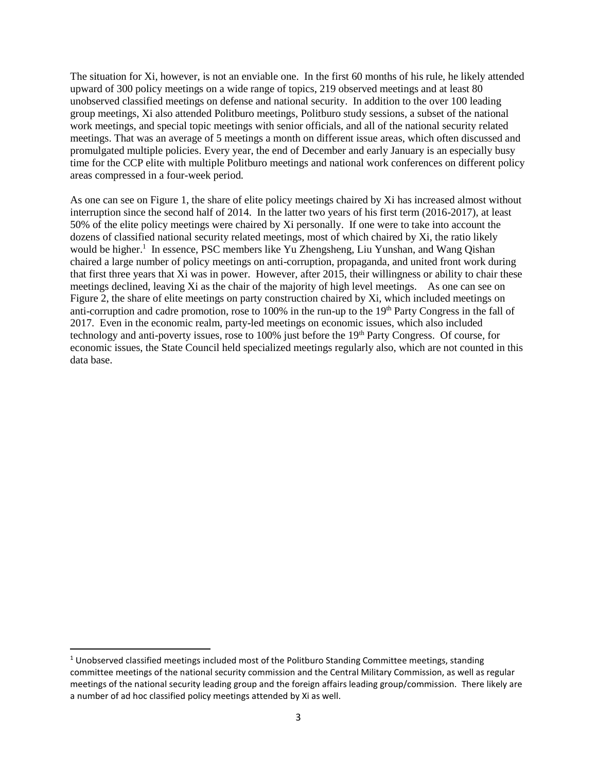The situation for Xi, however, is not an enviable one. In the first 60 months of his rule, he likely attended upward of 300 policy meetings on a wide range of topics, 219 observed meetings and at least 80 unobserved classified meetings on defense and national security. In addition to the over 100 leading group meetings, Xi also attended Politburo meetings, Politburo study sessions, a subset of the national work meetings, and special topic meetings with senior officials, and all of the national security related meetings. That was an average of 5 meetings a month on different issue areas, which often discussed and promulgated multiple policies. Every year, the end of December and early January is an especially busy time for the CCP elite with multiple Politburo meetings and national work conferences on different policy areas compressed in a four-week period.

As one can see on Figure 1, the share of elite policy meetings chaired by Xi has increased almost without interruption since the second half of 2014. In the latter two years of his first term (2016-2017), at least 50% of the elite policy meetings were chaired by Xi personally. If one were to take into account the dozens of classified national security related meetings, most of which chaired by Xi, the ratio likely would be higher.<sup>1</sup> In essence, PSC members like Yu Zhengsheng, Liu Yunshan, and Wang Qishan chaired a large number of policy meetings on anti-corruption, propaganda, and united front work during that first three years that Xi was in power. However, after 2015, their willingness or ability to chair these meetings declined, leaving Xi as the chair of the majority of high level meetings. As one can see on Figure 2, the share of elite meetings on party construction chaired by Xi, which included meetings on anti-corruption and cadre promotion, rose to 100% in the run-up to the 19<sup>th</sup> Party Congress in the fall of 2017. Even in the economic realm, party-led meetings on economic issues, which also included technology and anti-poverty issues, rose to 100% just before the 19th Party Congress. Of course, for economic issues, the State Council held specialized meetings regularly also, which are not counted in this data base.

l

 $1$  Unobserved classified meetings included most of the Politburo Standing Committee meetings, standing committee meetings of the national security commission and the Central Military Commission, as well as regular meetings of the national security leading group and the foreign affairs leading group/commission. There likely are a number of ad hoc classified policy meetings attended by Xi as well.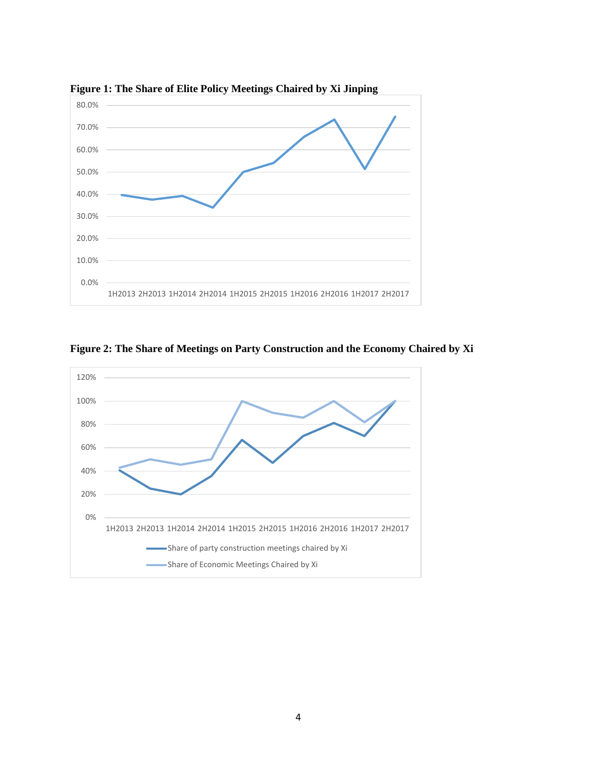

**Figure 1: The Share of Elite Policy Meetings Chaired by Xi Jinping**



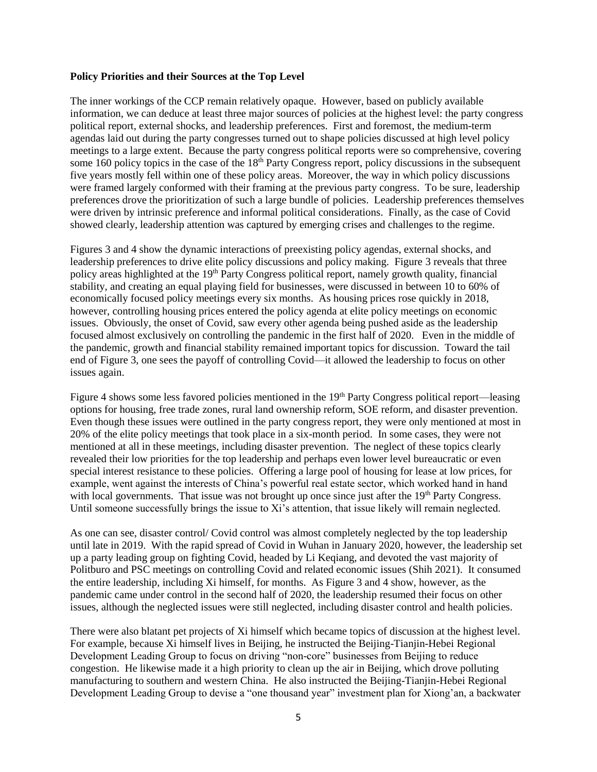#### **Policy Priorities and their Sources at the Top Level**

The inner workings of the CCP remain relatively opaque. However, based on publicly available information, we can deduce at least three major sources of policies at the highest level: the party congress political report, external shocks, and leadership preferences. First and foremost, the medium-term agendas laid out during the party congresses turned out to shape policies discussed at high level policy meetings to a large extent. Because the party congress political reports were so comprehensive, covering some 160 policy topics in the case of the 18<sup>th</sup> Party Congress report, policy discussions in the subsequent five years mostly fell within one of these policy areas. Moreover, the way in which policy discussions were framed largely conformed with their framing at the previous party congress. To be sure, leadership preferences drove the prioritization of such a large bundle of policies. Leadership preferences themselves were driven by intrinsic preference and informal political considerations. Finally, as the case of Covid showed clearly, leadership attention was captured by emerging crises and challenges to the regime.

Figures 3 and 4 show the dynamic interactions of preexisting policy agendas, external shocks, and leadership preferences to drive elite policy discussions and policy making. Figure 3 reveals that three policy areas highlighted at the 19<sup>th</sup> Party Congress political report, namely growth quality, financial stability, and creating an equal playing field for businesses, were discussed in between 10 to 60% of economically focused policy meetings every six months. As housing prices rose quickly in 2018, however, controlling housing prices entered the policy agenda at elite policy meetings on economic issues. Obviously, the onset of Covid, saw every other agenda being pushed aside as the leadership focused almost exclusively on controlling the pandemic in the first half of 2020. Even in the middle of the pandemic, growth and financial stability remained important topics for discussion. Toward the tail end of Figure 3, one sees the payoff of controlling Covid—it allowed the leadership to focus on other issues again.

Figure 4 shows some less favored policies mentioned in the 19<sup>th</sup> Party Congress political report—leasing options for housing, free trade zones, rural land ownership reform, SOE reform, and disaster prevention. Even though these issues were outlined in the party congress report, they were only mentioned at most in 20% of the elite policy meetings that took place in a six-month period. In some cases, they were not mentioned at all in these meetings, including disaster prevention. The neglect of these topics clearly revealed their low priorities for the top leadership and perhaps even lower level bureaucratic or even special interest resistance to these policies. Offering a large pool of housing for lease at low prices, for example, went against the interests of China's powerful real estate sector, which worked hand in hand with local governments. That issue was not brought up once since just after the 19<sup>th</sup> Party Congress. Until someone successfully brings the issue to Xi's attention, that issue likely will remain neglected.

As one can see, disaster control/ Covid control was almost completely neglected by the top leadership until late in 2019. With the rapid spread of Covid in Wuhan in January 2020, however, the leadership set up a party leading group on fighting Covid, headed by Li Keqiang, and devoted the vast majority of Politburo and PSC meetings on controlling Covid and related economic issues (Shih 2021). It consumed the entire leadership, including Xi himself, for months. As Figure 3 and 4 show, however, as the pandemic came under control in the second half of 2020, the leadership resumed their focus on other issues, although the neglected issues were still neglected, including disaster control and health policies.

There were also blatant pet projects of Xi himself which became topics of discussion at the highest level. For example, because Xi himself lives in Beijing, he instructed the Beijing-Tianjin-Hebei Regional Development Leading Group to focus on driving "non-core" businesses from Beijing to reduce congestion. He likewise made it a high priority to clean up the air in Beijing, which drove polluting manufacturing to southern and western China. He also instructed the Beijing-Tianjin-Hebei Regional Development Leading Group to devise a "one thousand year" investment plan for Xiong'an, a backwater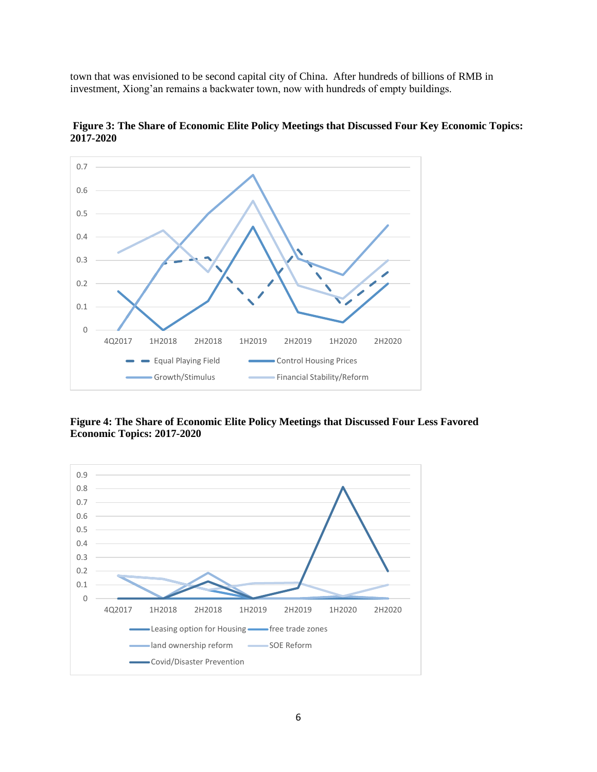town that was envisioned to be second capital city of China. After hundreds of billions of RMB in investment, Xiong'an remains a backwater town, now with hundreds of empty buildings.



**Figure 3: The Share of Economic Elite Policy Meetings that Discussed Four Key Economic Topics: 2017-2020**

**Figure 4: The Share of Economic Elite Policy Meetings that Discussed Four Less Favored Economic Topics: 2017-2020**

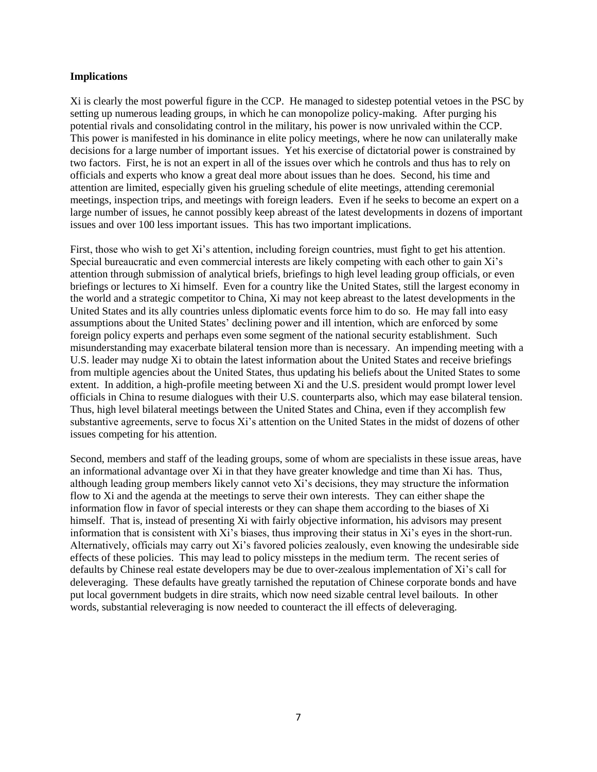### **Implications**

Xi is clearly the most powerful figure in the CCP. He managed to sidestep potential vetoes in the PSC by setting up numerous leading groups, in which he can monopolize policy-making. After purging his potential rivals and consolidating control in the military, his power is now unrivaled within the CCP. This power is manifested in his dominance in elite policy meetings, where he now can unilaterally make decisions for a large number of important issues. Yet his exercise of dictatorial power is constrained by two factors. First, he is not an expert in all of the issues over which he controls and thus has to rely on officials and experts who know a great deal more about issues than he does. Second, his time and attention are limited, especially given his grueling schedule of elite meetings, attending ceremonial meetings, inspection trips, and meetings with foreign leaders. Even if he seeks to become an expert on a large number of issues, he cannot possibly keep abreast of the latest developments in dozens of important issues and over 100 less important issues. This has two important implications.

First, those who wish to get Xi's attention, including foreign countries, must fight to get his attention. Special bureaucratic and even commercial interests are likely competing with each other to gain Xi's attention through submission of analytical briefs, briefings to high level leading group officials, or even briefings or lectures to Xi himself. Even for a country like the United States, still the largest economy in the world and a strategic competitor to China, Xi may not keep abreast to the latest developments in the United States and its ally countries unless diplomatic events force him to do so. He may fall into easy assumptions about the United States' declining power and ill intention, which are enforced by some foreign policy experts and perhaps even some segment of the national security establishment. Such misunderstanding may exacerbate bilateral tension more than is necessary. An impending meeting with a U.S. leader may nudge Xi to obtain the latest information about the United States and receive briefings from multiple agencies about the United States, thus updating his beliefs about the United States to some extent. In addition, a high-profile meeting between Xi and the U.S. president would prompt lower level officials in China to resume dialogues with their U.S. counterparts also, which may ease bilateral tension. Thus, high level bilateral meetings between the United States and China, even if they accomplish few substantive agreements, serve to focus Xi's attention on the United States in the midst of dozens of other issues competing for his attention.

Second, members and staff of the leading groups, some of whom are specialists in these issue areas, have an informational advantage over Xi in that they have greater knowledge and time than Xi has. Thus, although leading group members likely cannot veto Xi's decisions, they may structure the information flow to Xi and the agenda at the meetings to serve their own interests. They can either shape the information flow in favor of special interests or they can shape them according to the biases of Xi himself. That is, instead of presenting Xi with fairly objective information, his advisors may present information that is consistent with Xi's biases, thus improving their status in Xi's eyes in the short-run. Alternatively, officials may carry out Xi's favored policies zealously, even knowing the undesirable side effects of these policies. This may lead to policy missteps in the medium term. The recent series of defaults by Chinese real estate developers may be due to over-zealous implementation of Xi's call for deleveraging. These defaults have greatly tarnished the reputation of Chinese corporate bonds and have put local government budgets in dire straits, which now need sizable central level bailouts. In other words, substantial releveraging is now needed to counteract the ill effects of deleveraging.